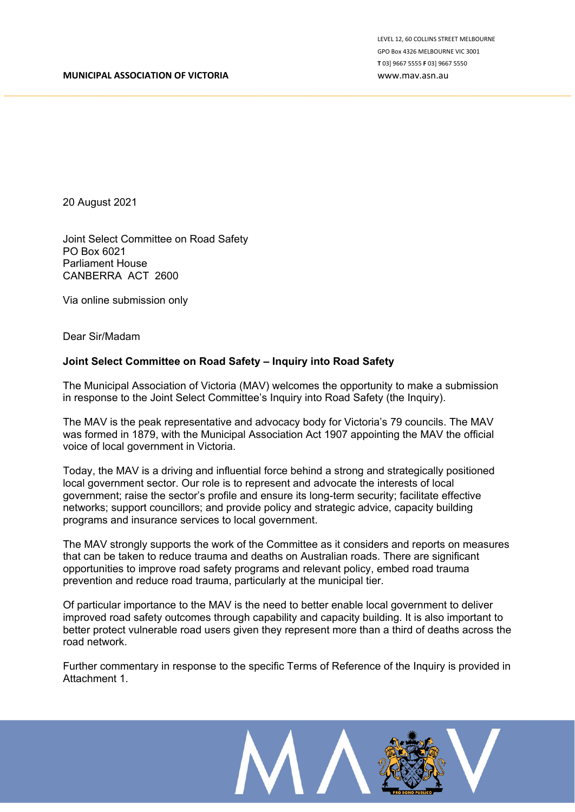LEVEL 12, 60 COLLINS STREET MELBOURNE GPO Box 4326 MELBOURNE VIC 3001 **T** 03] 9667 5555 **F** 03] 9667 5550 www.mav.asn.au

20 August 2021

Joint Select Committee on Road Safety PO Box 6021 Parliament House CANBERRA ACT 2600

Via online submission only

Dear Sir/Madam

#### **Joint Select Committee on Road Safety – Inquiry into Road Safety**

The Municipal Association of Victoria (MAV) welcomes the opportunity to make a submission in response to the Joint Select Committee's Inquiry into Road Safety (the Inquiry).

The MAV is the peak representative and advocacy body for Victoria's 79 councils. The MAV was formed in 1879, with the Municipal Association Act 1907 appointing the MAV the official voice of local government in Victoria.

Today, the MAV is a driving and influential force behind a strong and strategically positioned local government sector. Our role is to represent and advocate the interests of local government; raise the sector's profile and ensure its long-term security; facilitate effective networks; support councillors; and provide policy and strategic advice, capacity building programs and insurance services to local government.

The MAV strongly supports the work of the Committee as it considers and reports on measures that can be taken to reduce trauma and deaths on Australian roads. There are significant opportunities to improve road safety programs and relevant policy, embed road trauma prevention and reduce road trauma, particularly at the municipal tier.

Of particular importance to the MAV is the need to better enable local government to deliver improved road safety outcomes through capability and capacity building. It is also important to better protect vulnerable road users given they represent more than a third of deaths across the road network.

Further commentary in response to the specific Terms of Reference of the Inquiry is provided in Attachment 1.

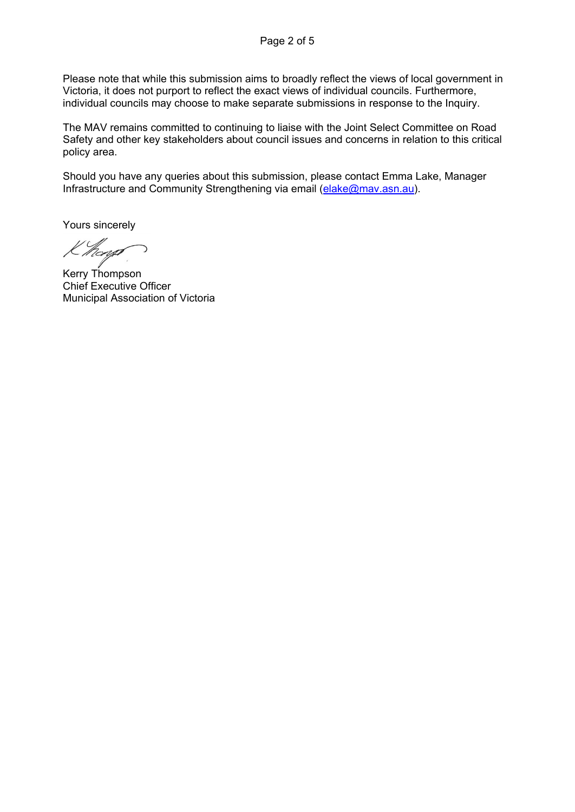Please note that while this submission aims to broadly reflect the views of local government in Victoria, it does not purport to reflect the exact views of individual councils. Furthermore, individual councils may choose to make separate submissions in response to the Inquiry.

The MAV remains committed to continuing to liaise with the Joint Select Committee on Road Safety and other key stakeholders about council issues and concerns in relation to this critical policy area.

Should you have any queries about this submission, please contact Emma Lake, Manager Infrastructure and Community Strengthening via email [\(elake@mav.asn.au\)](mailto:elake@mav.asn.au).

Yours sincerely

K hang

Kerry Thompson Chief Executive Officer Municipal Association of Victoria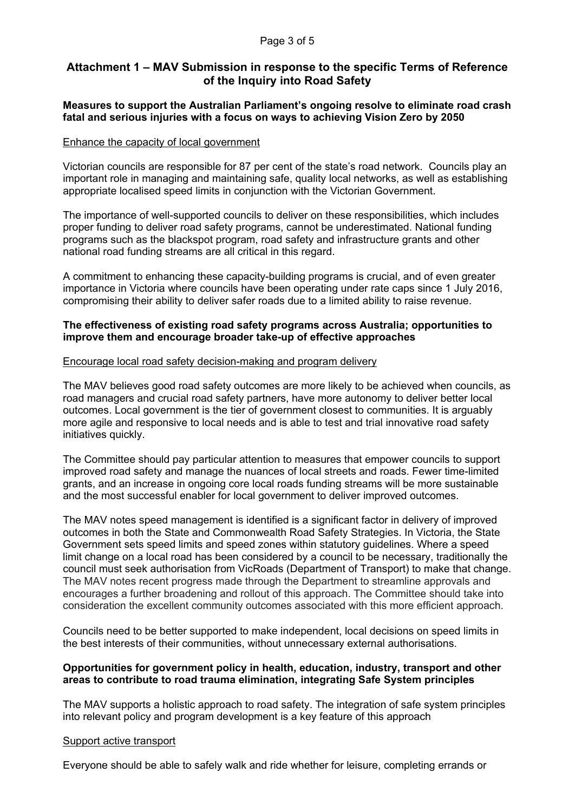# **Attachment 1 – MAV Submission in response to the specific Terms of Reference of the Inquiry into Road Safety**

# **Measures to support the Australian Parliament's ongoing resolve to eliminate road crash fatal and serious injuries with a focus on ways to achieving Vision Zero by 2050**

#### Enhance the capacity of local government

Victorian councils are responsible for 87 per cent of the state's road network. Councils play an important role in managing and maintaining safe, quality local networks, as well as establishing appropriate localised speed limits in conjunction with the Victorian Government.

The importance of well-supported councils to deliver on these responsibilities, which includes proper funding to deliver road safety programs, cannot be underestimated. National funding programs such as the blackspot program, road safety and infrastructure grants and other national road funding streams are all critical in this regard.

A commitment to enhancing these capacity-building programs is crucial, and of even greater importance in Victoria where councils have been operating under rate caps since 1 July 2016, compromising their ability to deliver safer roads due to a limited ability to raise revenue.

## **The effectiveness of existing road safety programs across Australia; opportunities to improve them and encourage broader take-up of effective approaches**

## Encourage local road safety decision-making and program delivery

The MAV believes good road safety outcomes are more likely to be achieved when councils, as road managers and crucial road safety partners, have more autonomy to deliver better local outcomes. Local government is the tier of government closest to communities. It is arguably more agile and responsive to local needs and is able to test and trial innovative road safety initiatives quickly.

The Committee should pay particular attention to measures that empower councils to support improved road safety and manage the nuances of local streets and roads. Fewer time-limited grants, and an increase in ongoing core local roads funding streams will be more sustainable and the most successful enabler for local government to deliver improved outcomes.

The MAV notes speed management is identified is a significant factor in delivery of improved outcomes in both the State and Commonwealth Road Safety Strategies. In Victoria, the State Government sets speed limits and speed zones within statutory guidelines. Where a speed limit change on a local road has been considered by a council to be necessary, traditionally the council must seek authorisation from VicRoads (Department of Transport) to make that change. The MAV notes recent progress made through the Department to streamline approvals and encourages a further broadening and rollout of this approach. The Committee should take into consideration the excellent community outcomes associated with this more efficient approach.

Councils need to be better supported to make independent, local decisions on speed limits in the best interests of their communities, without unnecessary external authorisations.

## **Opportunities for government policy in health, education, industry, transport and other areas to contribute to road trauma elimination, integrating Safe System principles**

The MAV supports a holistic approach to road safety. The integration of safe system principles into relevant policy and program development is a key feature of this approach

#### Support active transport

Everyone should be able to safely walk and ride whether for leisure, completing errands or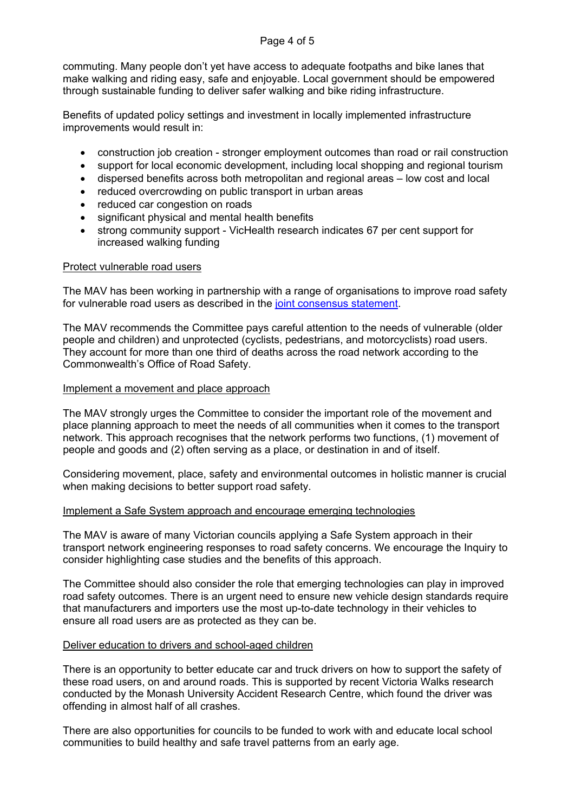commuting. Many people don't yet have access to adequate footpaths and bike lanes that make walking and riding easy, safe and enjoyable. Local government should be empowered through sustainable funding to deliver safer walking and bike riding infrastructure.

Benefits of updated policy settings and investment in locally implemented infrastructure improvements would result in:

- construction job creation stronger employment outcomes than road or rail construction
- support for local economic development, including local shopping and regional tourism
- dispersed benefits across both metropolitan and regional areas low cost and local
- reduced overcrowding on public transport in urban areas
- reduced car congestion on roads
- significant physical and mental health benefits
- strong community support VicHealth research indicates 67 per cent support for increased walking funding

## Protect vulnerable road users

The MAV has been working in partnership with a range of organisations to improve road safety for vulnerable road users as described in the [joint consensus statement.](https://www.heartfoundation.org.au/getmedia/002dc14f-305d-48d4-86a5-5c3b0ee8cd83/Final-walking-and-bike-riding-consensus-statement-12-March-21_1.pdf)

The MAV recommends the Committee pays careful attention to the needs of vulnerable (older people and children) and unprotected (cyclists, pedestrians, and motorcyclists) road users. They account for more than one third of deaths across the road network according to the Commonwealth's Office of Road Safety.

## Implement a movement and place approach

The MAV strongly urges the Committee to consider the important role of the movement and place planning approach to meet the needs of all communities when it comes to the transport network. This approach recognises that the network performs two functions, (1) movement of people and goods and (2) often serving as a place, or destination in and of itself.

Considering movement, place, safety and environmental outcomes in holistic manner is crucial when making decisions to better support road safety.

# Implement a Safe System approach and encourage emerging technologies

The MAV is aware of many Victorian councils applying a Safe System approach in their transport network engineering responses to road safety concerns. We encourage the Inquiry to consider highlighting case studies and the benefits of this approach.

The Committee should also consider the role that emerging technologies can play in improved road safety outcomes. There is an urgent need to ensure new vehicle design standards require that manufacturers and importers use the most up-to-date technology in their vehicles to ensure all road users are as protected as they can be.

#### Deliver education to drivers and school-aged children

There is an opportunity to better educate car and truck drivers on how to support the safety of these road users, on and around roads. This is supported by recent Victoria Walks research conducted by the Monash University Accident Research Centre, which found the driver was offending in almost half of all crashes.

There are also opportunities for councils to be funded to work with and educate local school communities to build healthy and safe travel patterns from an early age.